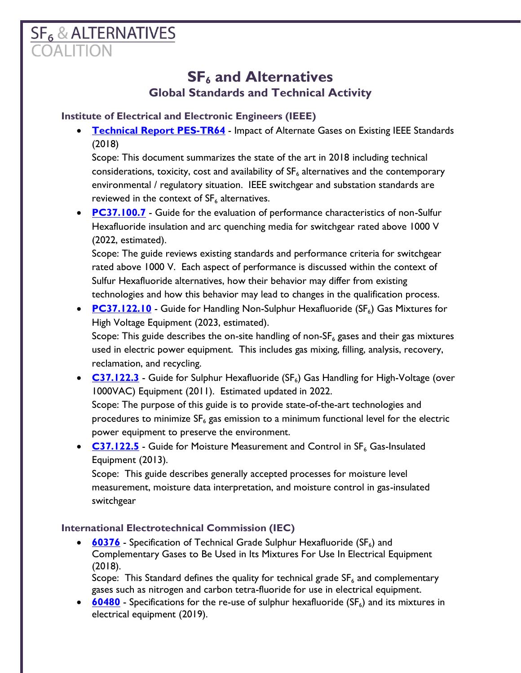# **SF<sub>6</sub> & ALTERNATIVES**

# **SF<sup>6</sup> and Alternatives Global Standards and Technical Activity**

## **Institute of Electrical and Electronic Engineers (IEEE)**

**• [Technical Report PES-TR64](https://resourcecenter.ieee-pes.org/publications/technical-reports/PES_TR0064_062018.html)** - Impact of Alternate Gases on Existing IEEE Standards (2018)

Scope: This document summarizes the state of the art in 2018 including technical considerations, toxicity, cost and availability of  $SF<sub>6</sub>$  alternatives and the contemporary environmental / regulatory situation. IEEE switchgear and substation standards are reviewed in the context of  $SF_6$  alternatives.

• **[PC37.100.7](https://standards.ieee.org/project/C37_100_7.html)** - Guide for the evaluation of performance characteristics of non-Sulfur Hexafluoride insulation and arc quenching media for switchgear rated above 1000 V (2022, estimated).

Scope: The guide reviews existing standards and performance criteria for switchgear rated above 1000 V. Each aspect of performance is discussed within the context of Sulfur Hexafluoride alternatives, how their behavior may differ from existing technologies and how this behavior may lead to changes in the qualification process.

• **[PC37.122.10](https://standards.ieee.org/project/C37_122_10.html)** - Guide for Handling Non-Sulphur Hexafluoride (SF<sub>6</sub>) Gas Mixtures for High Voltage Equipment (2023, estimated).

Scope: This guide describes the on-site handling of non-SF $_6$  gases and their gas mixtures used in electric power equipment. This includes gas mixing, filling, analysis, recovery, reclamation, and recycling.

• **[C37.122.3](•%09https:/standards.ieee.org/content/ieee-standards/en/standard/C37_122_3-2011.html)** - Guide for Sulphur Hexafluoride (SF<sub>6</sub>) Gas Handling for High-Voltage (over 1000VAC) Equipment (2011). Estimated updated in 2022.

Scope: The purpose of this guide is to provide state-of-the-art technologies and procedures to minimize  $SF_6$  gas emission to a minimum functional level for the electric power equipment to preserve the environment.

• **[C37.122.5](https://standards.ieee.org/standard/C37_122_5-2013.html)** - Guide for Moisture Measurement and Control in SF<sub>6</sub> Gas-Insulated Equipment (2013).

Scope: This guide describes generally accepted processes for moisture level measurement, moisture data interpretation, and moisture control in gas-insulated switchgear

# **International Electrotechnical Commission (IEC)**

• **[60376](https://webstore.iec.ch/publication/33028)** - Specification of Technical Grade Sulphur Hexafluoride (SF<sub>6</sub>) and Complementary Gases to Be Used in Its Mixtures For Use In Electrical Equipment (2018).

Scope: This Standard defines the quality for technical grade  $SF<sub>6</sub>$  and complementary gases such as nitrogen and carbon tetra-fluoride for use in electrical equipment.

 $\bullet$  **[60480](https://webstore.iec.ch/publication/61024)** - Specifications for the re-use of sulphur hexafluoride (SF<sub>6</sub>) and its mixtures in electrical equipment (2019).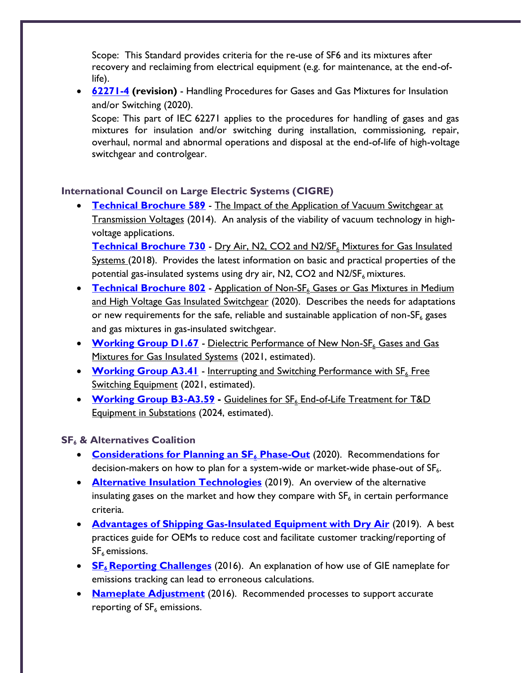Scope: This Standard provides criteria for the re-use of SF6 and its mixtures after recovery and reclaiming from electrical equipment (e.g. for maintenance, at the end-oflife).

• **[62271-4](https://webstore.iec.ch/publication/6739) (revision)** - Handling Procedures for Gases and Gas Mixtures for Insulation and/or Switching (2020).

Scope: This part of IEC 62271 applies to the procedures for handling of gases and gas mixtures for insulation and/or switching during installation, commissioning, repair, overhaul, normal and abnormal operations and disposal at the end-of-life of high-voltage switchgear and controlgear.

### **International Council on Large Electric Systems (CIGRE)**

• **[Technical Brochure 589](https://e-cigre.org/publication/589-the-impact-of-the-application-of-vacuum-switchgear-at-transmission-voltages)** - The Impact of the Application of Vacuum Switchgear at Transmission Voltages (2014). An analysis of the viability of vacuum technology in highvoltage applications.

**[Technical Brochure 730](https://e-cigre.org/publication/730-dry-air-n2-co2-and-n2sf6-mixtures-for-gas-insulated-systems)** - Dry Air, N2, CO2 and N2/SF<sub>6</sub> Mixtures for Gas Insulated Systems (2018). Provides the latest information on basic and practical properties of the potential gas-insulated systems using dry air,  $N2$ , CO2 and  $N2/SF<sub>6</sub>$  mixtures.

- **[Technical Brochure 802](https://e-cigre.org/publication/802-application-of-non-sf6-gases-or-gas-mixtures-in-medium-and-high-voltage-gas-insulated-switchgear)** Application of Non-SF<sub>6</sub> Gases or Gas Mixtures in Medium and High Voltage Gas Insulated Switchgear (2020). Describes the needs for adaptations or new requirements for the safe, reliable and sustainable application of non- $SF_6$  gases and gas mixtures in gas-insulated switchgear.
- **[Working Group D1.67](https://www.cigre.org/userfiles/files/News/2018/TOR_WG_D1_67_Dielectric_performance_of_non_SF6_gases_for_gas_insulated_systems.pdf)** Dielectric Performance of New Non-SF<sub>6</sub> Gases and Gas Mixtures for Gas Insulated Systems (2021, estimated).
- **[Working Group A3.41](https://www.cigre.org/userfiles/files/News/2018/TOR_WG_A3_41_Interrupting_and_switching_performance_with_SF6_free_switching_equipment.pdf)** Interrupting and Switching Performance with SF<sub>6</sub> Free Switching Equipment (2021, estimated).
- **[Working Group B3-A3.59](https://www.cigre.org/userfiles/files/News/2020/TOR-JWG%20B3_A3_59%20_Guidelines%20for%20SF6%20end-of-life%20treatment%20of%20T%26D%20equipment%20(above%201kV)%20in%20Substations.pdf)** Guidelines for SF<sub>6</sub> End-of-Life Treatment for T&D Equipment in Substations (2024, estimated).

### **SF<sup>6</sup> & Alternatives Coalition**

- **[Considerations for Planning an SF](http://www.sf6andalternativescoalition.org/wp-content/uploads/2020/10/Phase-out-Doc-FINAL.pdf)<sup>6</sup> Phase-Out** (2020). Recommendations for decision-makers on how to plan for a system-wide or market-wide phase-out of  $SF_{6}$ .
- **[Alternative Insulation Technologies](http://www.sf6andalternativescoalition.org/wp-content/uploads/2020/10/Alternative-Insulation-Technologies-FINAL.pdf)** (2019). An overview of the alternative insulating gases on the market and how they compare with  $\text{SF}_6$  in certain performance criteria.
- **[Advantages of Shipping Gas-Insulated Equipment with Dry Air](http://www.sf6andalternativescoalition.org/wp-content/uploads/2020/10/Best-Practice-ship-with-dry-air-FINAL.pdf)** (2019). A best practices guide for OEMs to reduce cost and facilitate customer tracking/reporting of  $SF<sub>6</sub>$  emissions.
- **SF<sub>6</sub> [Reporting Challenges](http://www.sf6andalternativescoalition.org/wp-content/uploads/2020/10/SF6-Reporting-Challenges.pdf)** (2016). An explanation of how use of GIE nameplate for emissions tracking can lead to erroneous calculations.
- **[Nameplate Adjustment](http://www.sf6andalternativescoalition.org/wp-content/uploads/2020/10/Nameplate-Adjustment-2020.pdf)** (2016). Recommended processes to support accurate reporting of  $SF<sub>6</sub>$  emissions.